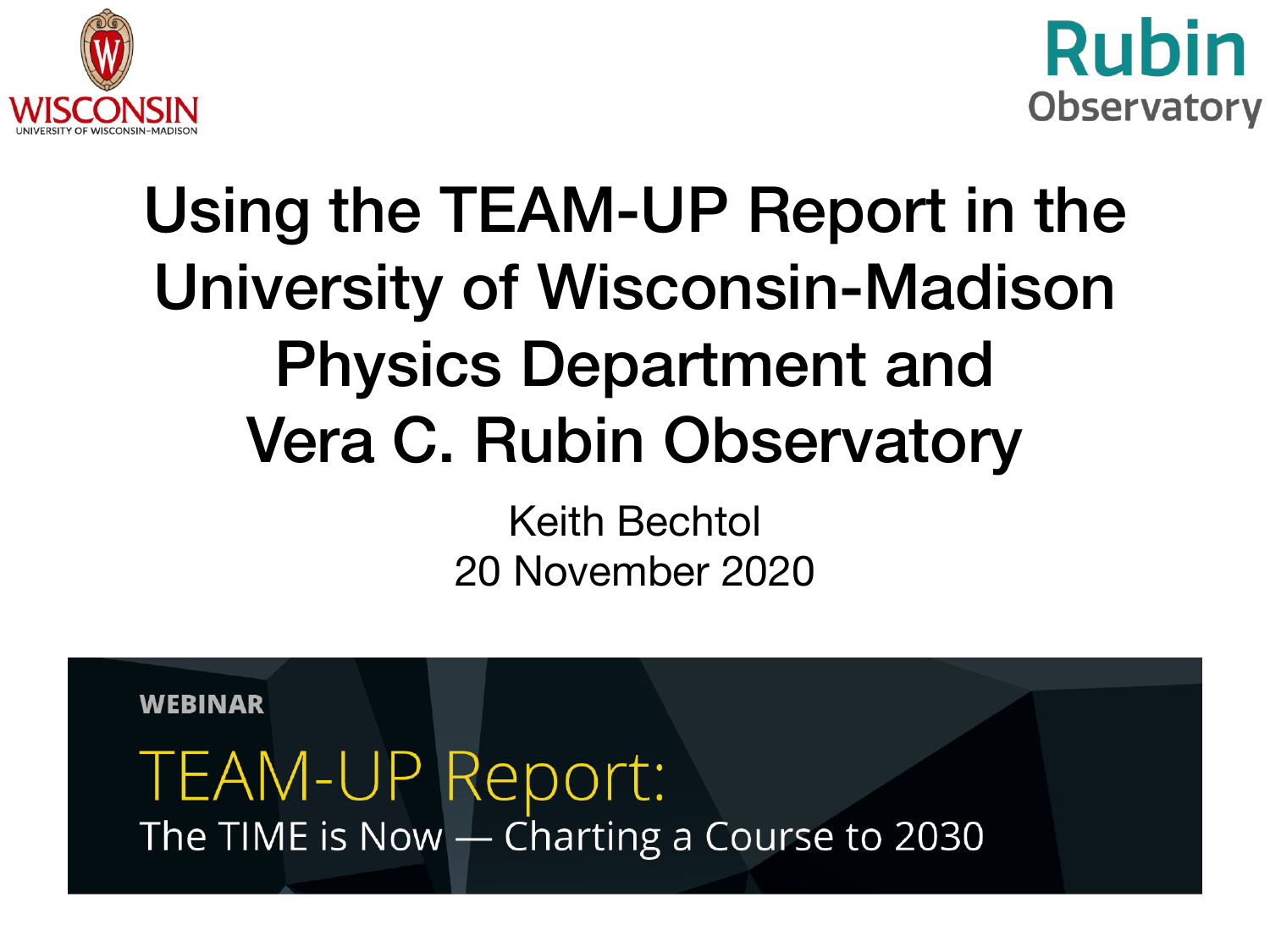



### Using the TEAM-UP Report in the University of Wisconsin-Madison Physics Department and Vera C. Rubin Observatory

Keith Bechtol 20 November 2020

**WEBINAR** 

#### TEAM-UP Report: The TIME is Now - Charting a Course to 2030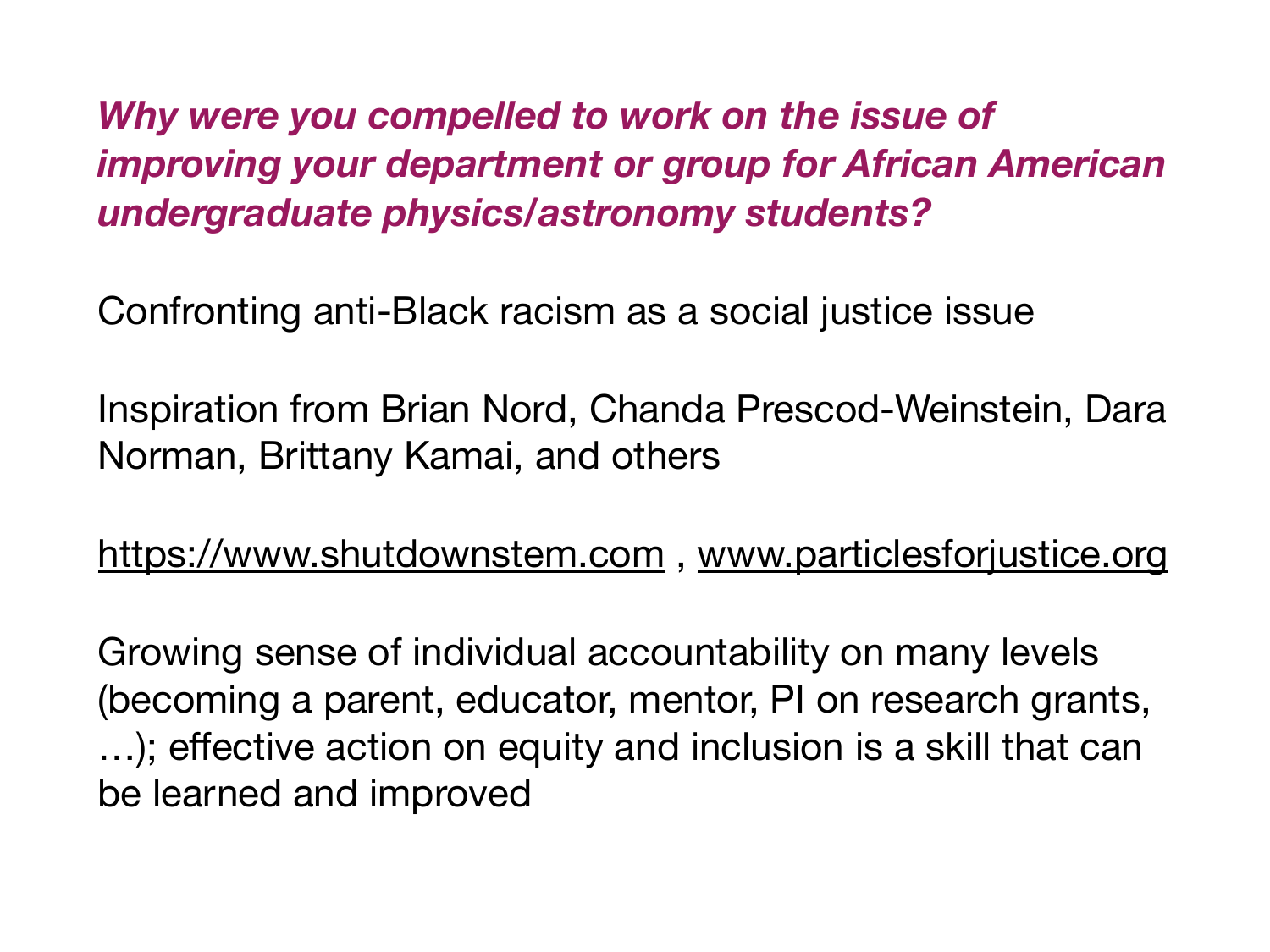*Why were you compelled to work on the issue of improving your department or group for African American undergraduate physics/astronomy students?* 

Confronting anti-Black racism as a social justice issue

Inspiration from Brian Nord, Chanda Prescod-Weinstein, Dara Norman, Brittany Kamai, and others

<https://www.shutdownstem.com> , [www.particlesforjustice.org](http://www.particlesforjustice.org)

Growing sense of individual accountability on many levels (becoming a parent, educator, mentor, PI on research grants, …); effective action on equity and inclusion is a skill that can be learned and improved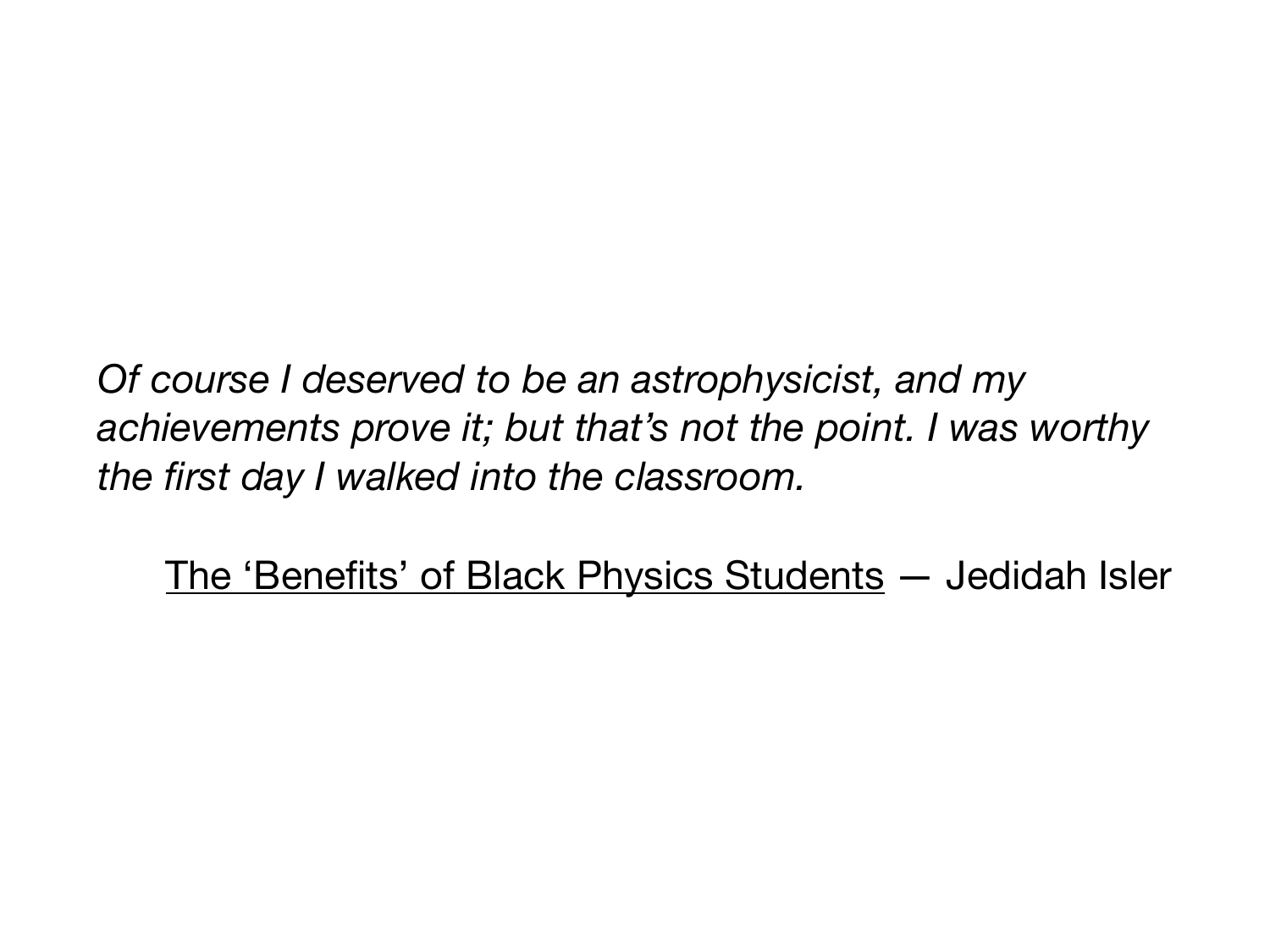*Of course I deserved to be an astrophysicist, and my achievements prove it; but that's not the point. I was worthy the first day I walked into the classroom.*

[The 'Benefits' of Black Physics Students](https://www.nytimes.com/2015/12/17/opinion/the-benefits-of-black-physics-students.html) — Jedidah Isler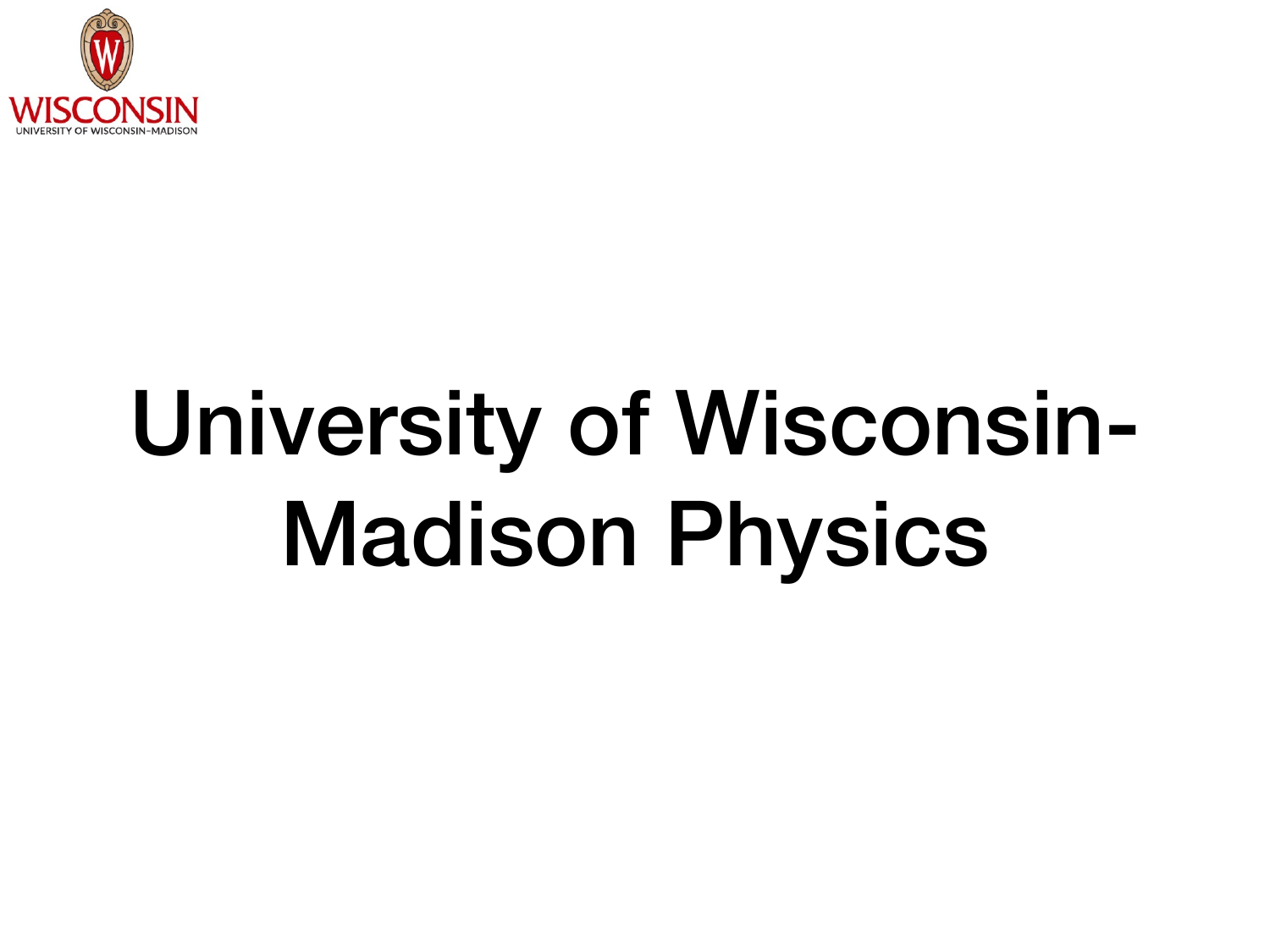

## University of Wisconsin-Madison Physics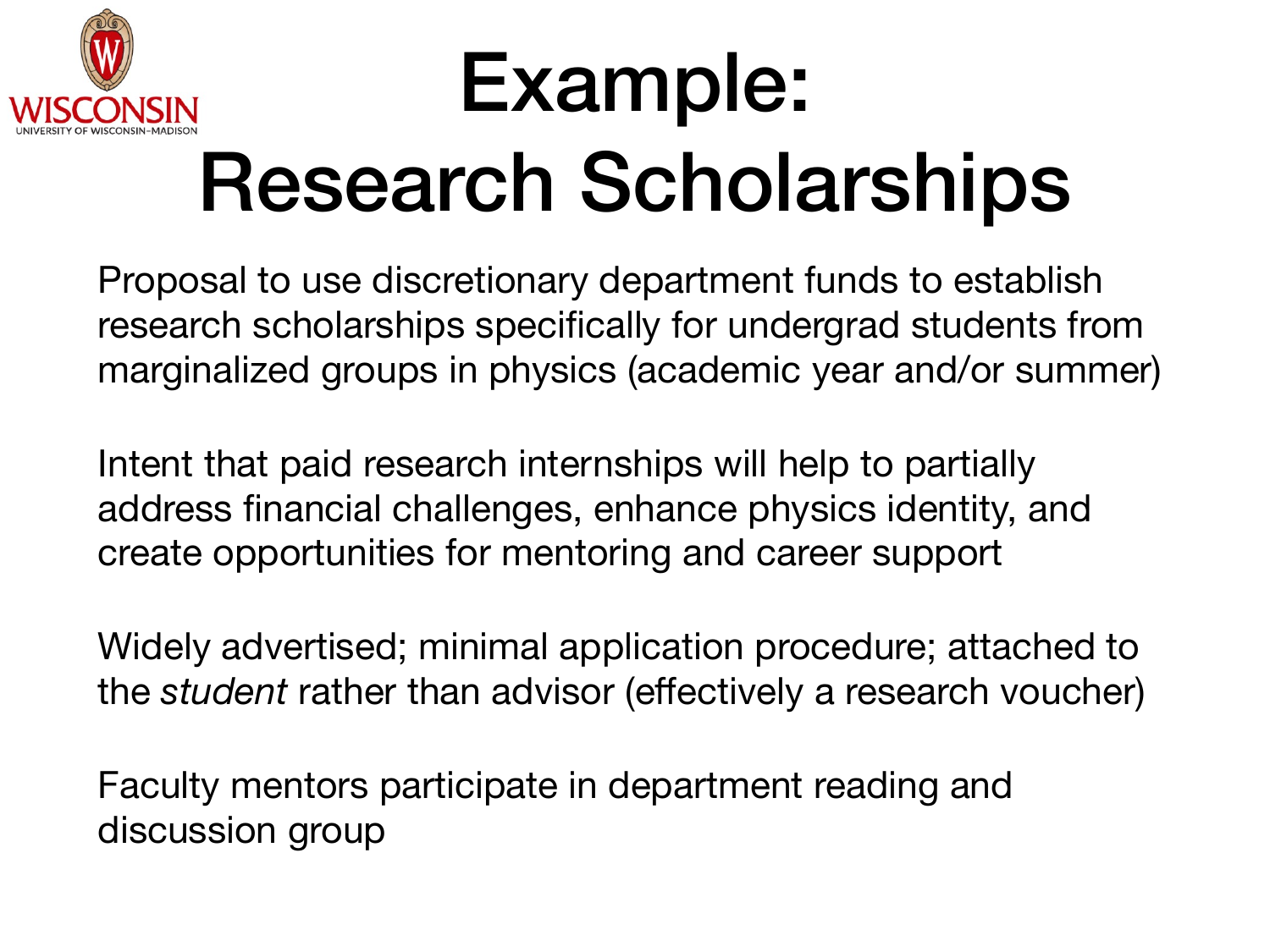

### Example: Research Scholarships

Proposal to use discretionary department funds to establish research scholarships specifically for undergrad students from marginalized groups in physics (academic year and/or summer)

Intent that paid research internships will help to partially address financial challenges, enhance physics identity, and create opportunities for mentoring and career support

Widely advertised; minimal application procedure; attached to the *student* rather than advisor (effectively a research voucher)

Faculty mentors participate in department reading and discussion group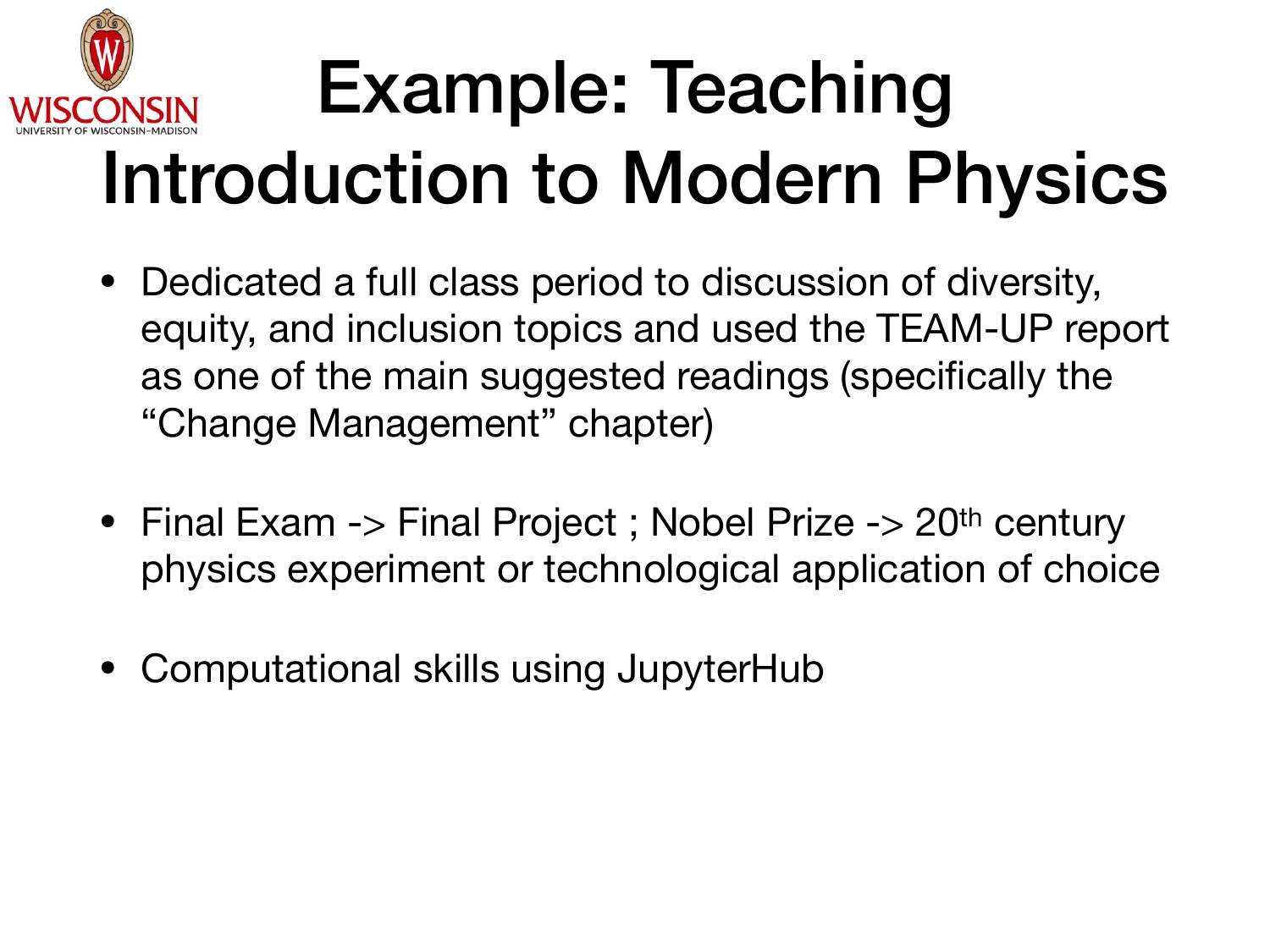

### Example: Teaching Introduction to Modern Physics

- Dedicated a full class period to discussion of diversity, equity, and inclusion topics and used the TEAM-UP report as one of the main suggested readings (specifically the "Change Management" chapter)
- Final Exam -> Final Project ; Nobel Prize -> 20<sup>th</sup> century physics experiment or technological application of choice
- Computational skills using JupyterHub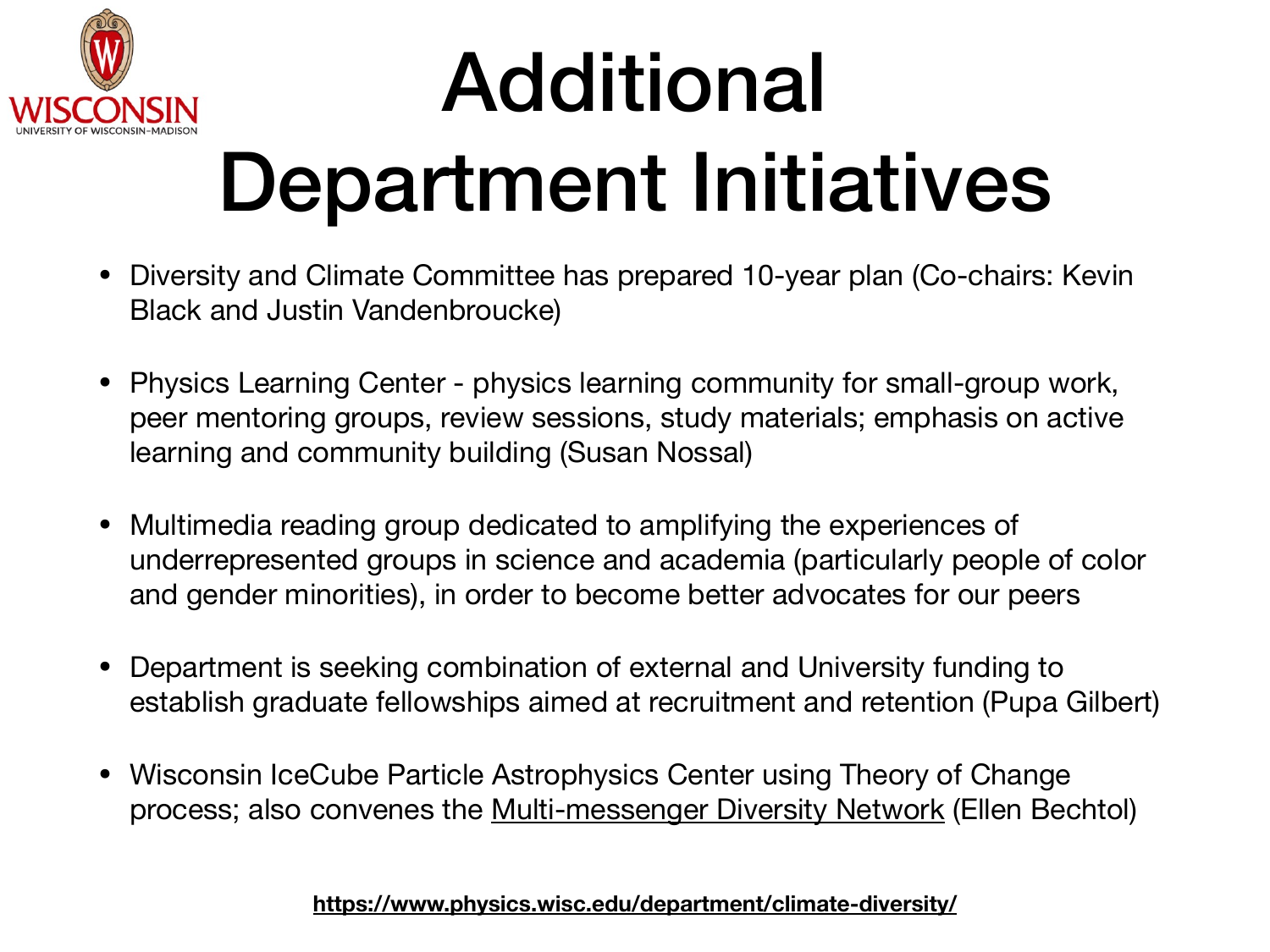

### Additional Department Initiatives

- Diversity and Climate Committee has prepared 10-year plan (Co-chairs: Kevin Black and Justin Vandenbroucke)
- Physics Learning Center physics learning community for small-group work, peer mentoring groups, review sessions, study materials; emphasis on active learning and community building (Susan Nossal)
- Multimedia reading group dedicated to amplifying the experiences of underrepresented groups in science and academia (particularly people of color and gender minorities), in order to become better advocates for our peers
- Department is seeking combination of external and University funding to establish graduate fellowships aimed at recruitment and retention (Pupa Gilbert)
- Wisconsin IceCube Particle Astrophysics Center using Theory of Change process; also convenes the [Multi-messenger Diversity Network](https://astromdn.github.io/) (Ellen Bechtol)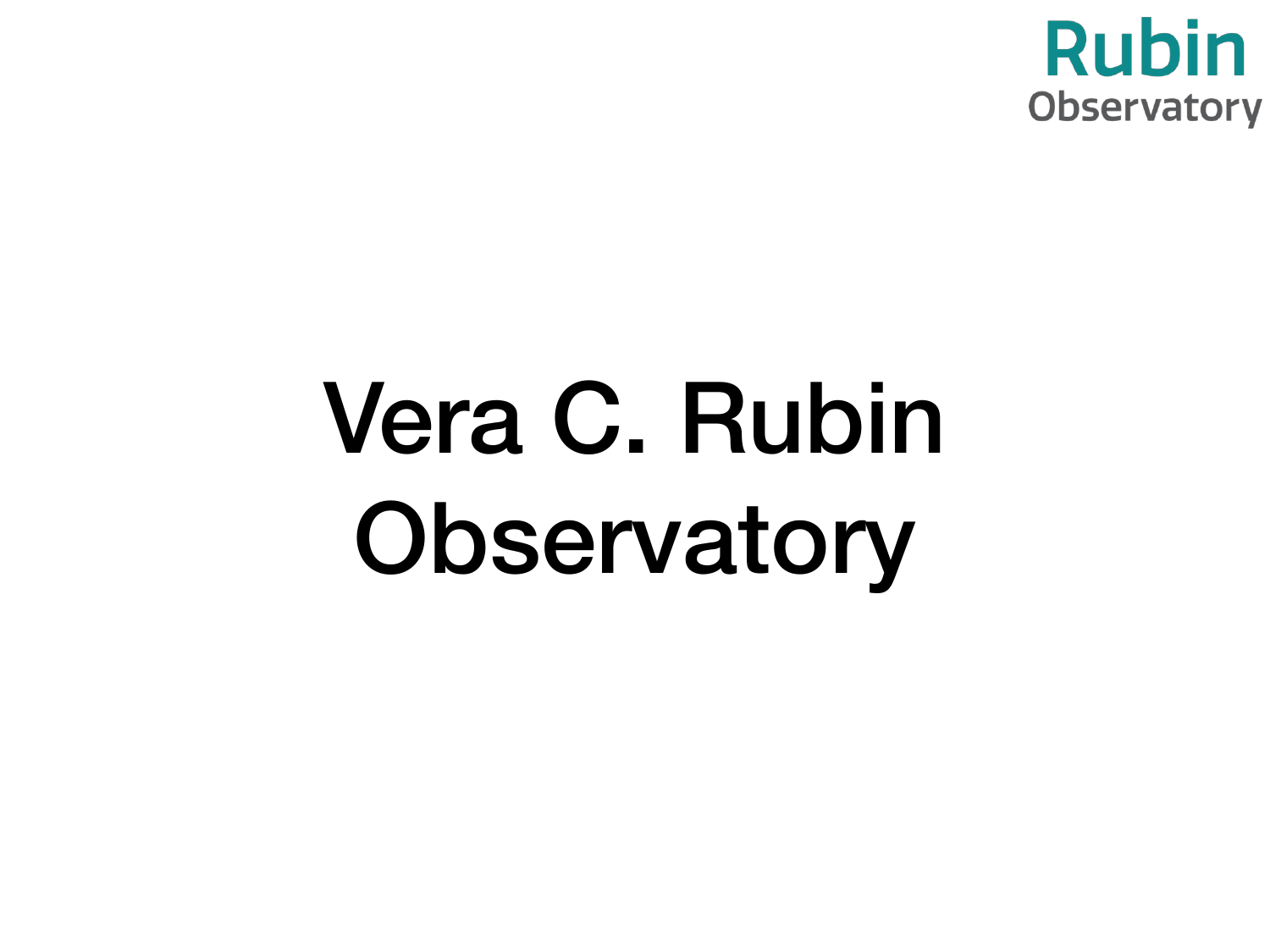

# Vera C. Rubin Observatory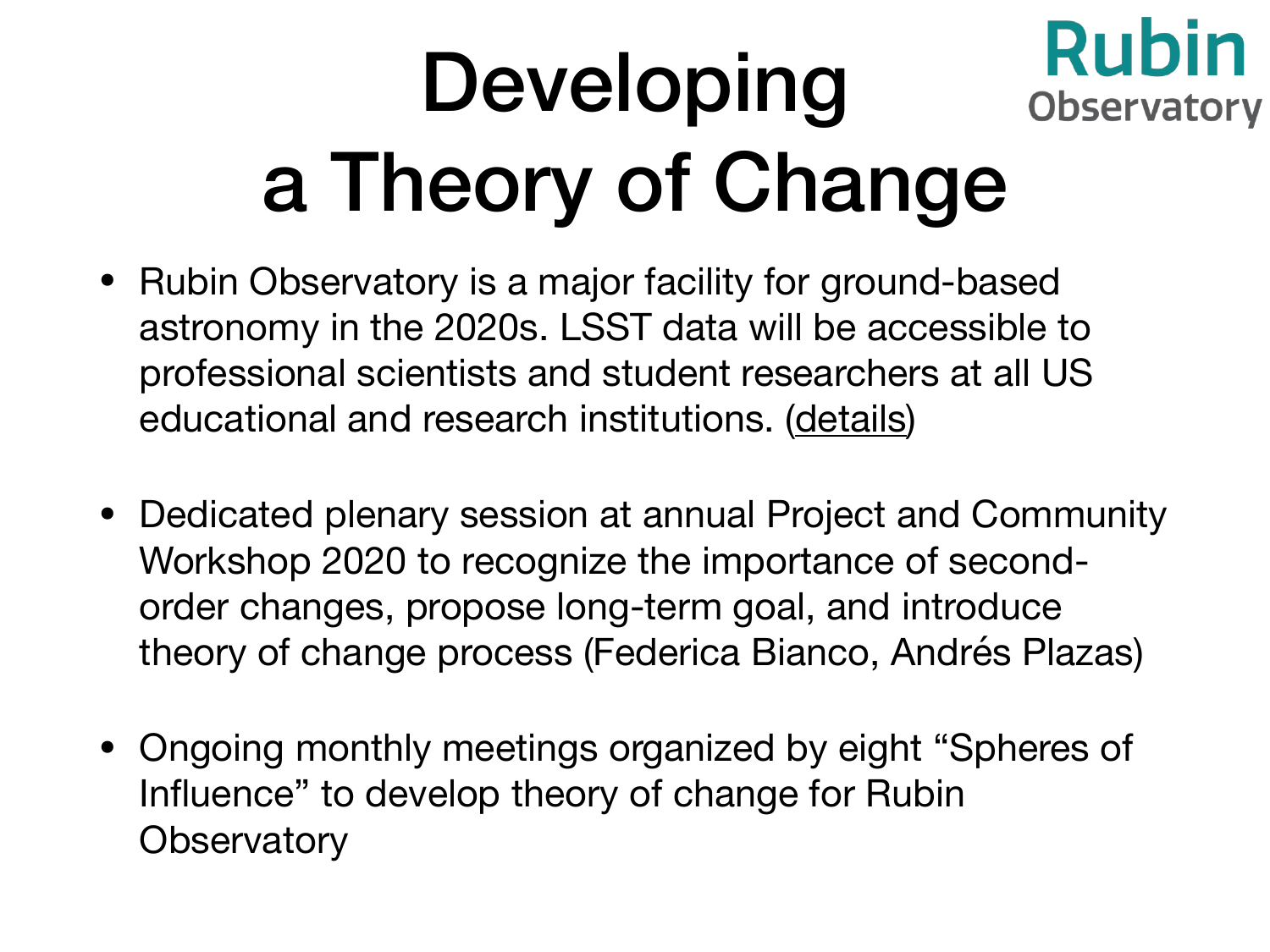#### **Rubin** Developing **Observatory** a Theory of Change

- Rubin Observatory is a major facility for ground-based astronomy in the 2020s. LSST data will be accessible to professional scientists and student researchers at all US educational and research institutions. [\(details](https://docushare.lsst.org/docushare/dsweb/Get/RDO-13))
- Dedicated plenary session at annual Project and Community Workshop 2020 to recognize the importance of secondorder changes, propose long-term goal, and introduce theory of change process (Federica Bianco, Andrés Plazas)
- Ongoing monthly meetings organized by eight "Spheres of Influence" to develop theory of change for Rubin **Observatory**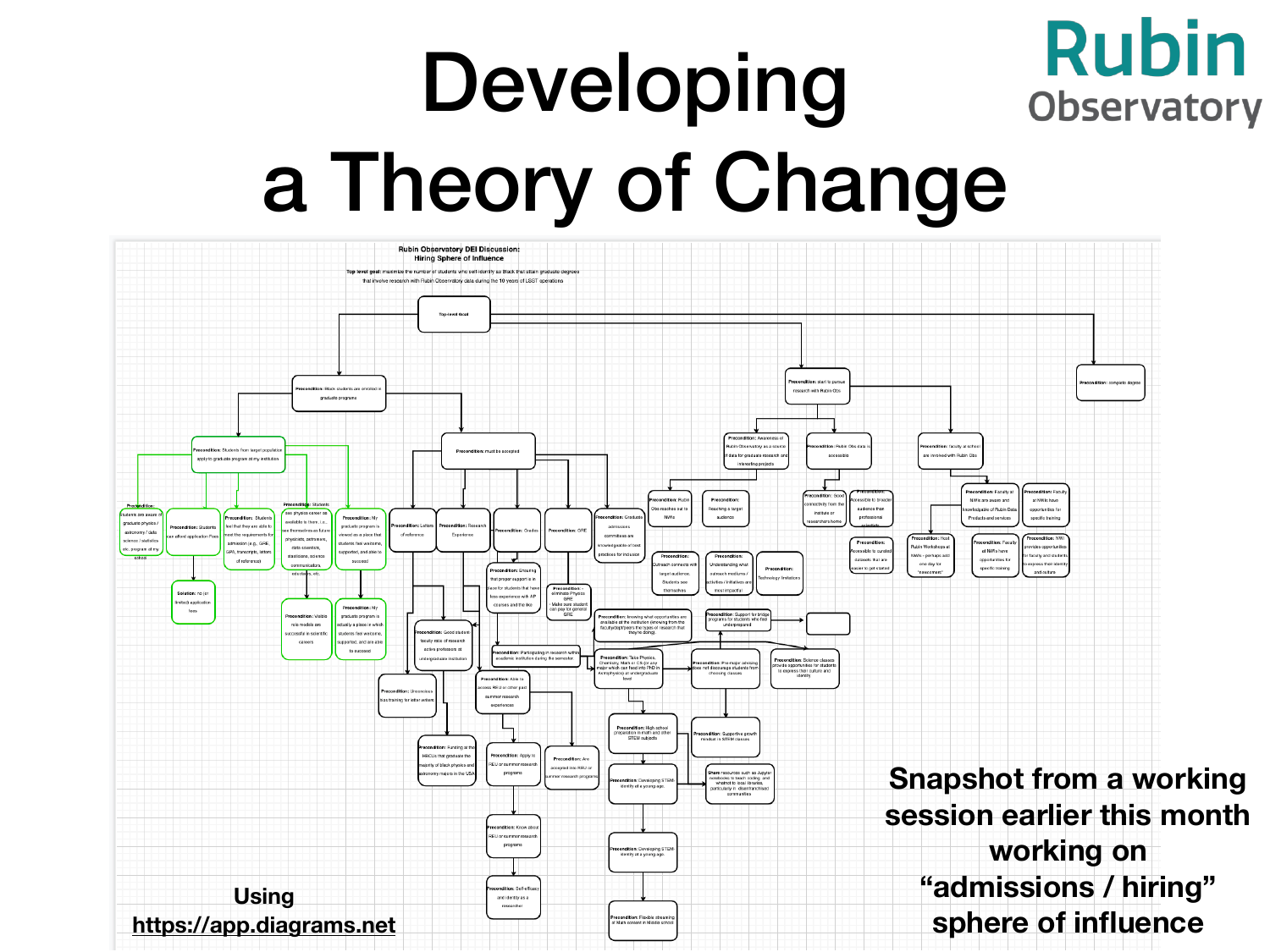#### **Rubin** Developing **Observatory** a Theory of Change